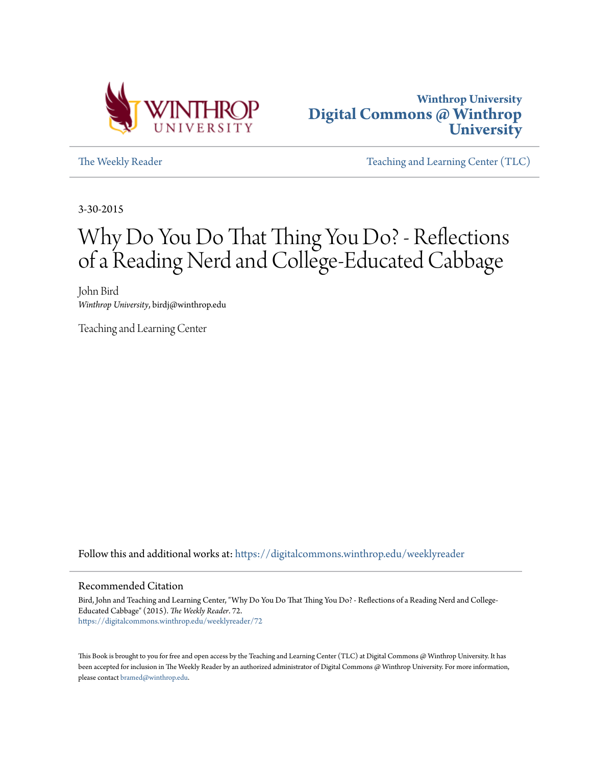



[The Weekly Reader](https://digitalcommons.winthrop.edu/weeklyreader?utm_source=digitalcommons.winthrop.edu%2Fweeklyreader%2F72&utm_medium=PDF&utm_campaign=PDFCoverPages) The Weekly Reader [Teaching and Learning Center \(TLC\)](https://digitalcommons.winthrop.edu/tlc?utm_source=digitalcommons.winthrop.edu%2Fweeklyreader%2F72&utm_medium=PDF&utm_campaign=PDFCoverPages)

3-30-2015

# Why Do You Do That Thing You Do? - Reflections of a Reading Nerd and College-Educated Cabbage

John Bird *Winthrop University*, birdj@winthrop.edu

Teaching and Learning Center

Follow this and additional works at: [https://digitalcommons.winthrop.edu/weeklyreader](https://digitalcommons.winthrop.edu/weeklyreader?utm_source=digitalcommons.winthrop.edu%2Fweeklyreader%2F72&utm_medium=PDF&utm_campaign=PDFCoverPages)

### Recommended Citation

Bird, John and Teaching and Learning Center, "Why Do You Do That Thing You Do? - Reflections of a Reading Nerd and College-Educated Cabbage" (2015). *The Weekly Reader*. 72. [https://digitalcommons.winthrop.edu/weeklyreader/72](https://digitalcommons.winthrop.edu/weeklyreader/72?utm_source=digitalcommons.winthrop.edu%2Fweeklyreader%2F72&utm_medium=PDF&utm_campaign=PDFCoverPages)

This Book is brought to you for free and open access by the Teaching and Learning Center (TLC) at Digital Commons @ Winthrop University. It has been accepted for inclusion in The Weekly Reader by an authorized administrator of Digital Commons @ Winthrop University. For more information, please contact [bramed@winthrop.edu](mailto:bramed@winthrop.edu).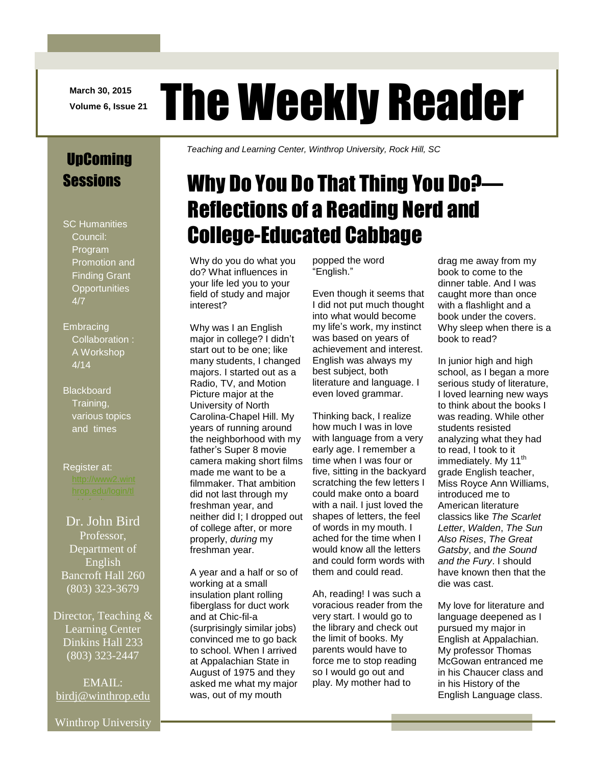**March 30, 2015**

# March 30, 2015 The Weekly Reader

### UpComing **Sessions**

- SC Humanities Council: Program Promotion and Finding Grant **Opportunities** 4/7
- **Embracing** Collaboration : A Workshop 4/14
- **Blackboard** Training, various topics and times
- Register at:

### Dr. John Bird Professor, Department of English Bancroft Hall 260 (803) 323-3679

Director, Teaching & Learning Center Dinkins Hall 233 (803) 323-2447

EMAIL: [birdj@winthrop.edu](mailto:birdj@winthrop.edu) *Teaching and Learning Center, Winthrop University, Rock Hill, SC*

# Why Do You Do That Thing You Do?— Reflections of a Reading Nerd and College-Educated Cabbage

Why do you do what you do? What influences in your life led you to your field of study and major interest?

Why was I an English major in college? I didn't start out to be one; like many students, I changed majors. I started out as a Radio, TV, and Motion Picture major at the University of North Carolina-Chapel Hill. My years of running around the neighborhood with my father's Super 8 movie camera making short films made me want to be a filmmaker. That ambition did not last through my freshman year, and neither did I; I dropped out of college after, or more properly, *during* my freshman year.

A year and a half or so of working at a small insulation plant rolling fiberglass for duct work and at Chic-fil-a (surprisingly similar jobs) convinced me to go back to school. When I arrived at Appalachian State in August of 1975 and they asked me what my major was, out of my mouth

popped the word "English."

Even though it seems that I did not put much thought into what would become my life's work, my instinct was based on years of achievement and interest. English was always my best subject, both literature and language. I even loved grammar.

Thinking back, I realize how much I was in love with language from a very early age. I remember a time when I was four or five, sitting in the backyard scratching the few letters I could make onto a board with a nail. I just loved the shapes of letters, the feel of words in my mouth. I ached for the time when I would know all the letters and could form words with them and could read.

Ah, reading! I was such a voracious reader from the very start. I would go to the library and check out the limit of books. My parents would have to force me to stop reading so I would go out and play. My mother had to

drag me away from my book to come to the dinner table. And I was caught more than once with a flashlight and a book under the covers. Why sleep when there is a book to read?

In junior high and high school, as I began a more serious study of literature, I loved learning new ways to think about the books I was reading. While other students resisted analyzing what they had to read, I took to it immediately. My 11<sup>th</sup> grade English teacher, Miss Royce Ann Williams, introduced me to American literature classics like *The Scarlet Letter*, *Walden*, *The Sun Also Rises*, *The Great Gatsby*, and *the Sound and the Fury*. I should have known then that the die was cast.

My love for literature and language deepened as I pursued my major in English at Appalachian. My professor Thomas McGowan entranced me in his Chaucer class and in his History of the English Language class.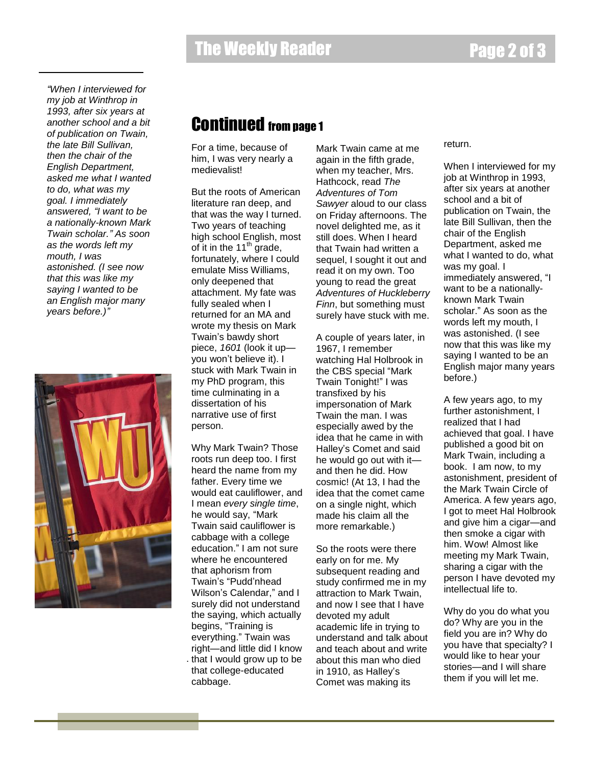*"When I interviewed for my job at Winthrop in 1993, after six years at another school and a bit of publication on Twain, the late Bill Sullivan, then the chair of the English Department, asked me what I wanted to do, what was my goal. I immediately answered, "I want to be a nationally-known Mark Twain scholar." As soon as the words left my mouth, I was astonished. (I see now that this was like my saying I wanted to be an English major many years before.)"*



### Continued from page 1

For a time, because of him, I was very nearly a medievalist!

But the roots of American literature ran deep, and that was the way I turned. Two years of teaching high school English, most of it in the  $11<sup>th</sup>$  grade, fortunately, where I could emulate Miss Williams, only deepened that attachment. My fate was fully sealed when I returned for an MA and wrote my thesis on Mark Twain's bawdy short piece, *1601* (look it up you won't believe it). I stuck with Mark Twain in my PhD program, this time culminating in a dissertation of his narrative use of first person.

Why Mark Twain? Those roots run deep too. I first heard the name from my father. Every time we would eat cauliflower, and I mean *every single time*, he would say, "Mark Twain said cauliflower is cabbage with a college education." I am not sure where he encountered that aphorism from Twain's "Pudd'nhead Wilson's Calendar," and I surely did not understand the saying, which actually begins, "Training is everything." Twain was right—and little did I know . that I would grow up to be that college-educated cabbage.

Mark Twain came at me again in the fifth grade, when my teacher, Mrs. Hathcock, read *The Adventures of Tom Sawyer* aloud to our class on Friday afternoons. The novel delighted me, as it still does. When I heard that Twain had written a sequel, I sought it out and read it on my own. Too young to read the great *Adventures of Huckleberry Finn*, but something must surely have stuck with me.

A couple of years later, in 1967, I remember watching Hal Holbrook in the CBS special "Mark Twain Tonight!" I was transfixed by his impersonation of Mark Twain the man. I was especially awed by the idea that he came in with Halley's Comet and said he would go out with it and then he did. How cosmic! (At 13, I had the idea that the comet came on a single night, which made his claim all the more remarkable.)

So the roots were there early on for me. My subsequent reading and study confirmed me in my attraction to Mark Twain, and now I see that I have devoted my adult academic life in trying to understand and talk about and teach about and write about this man who died in 1910, as Halley's Comet was making its

### return.

When I interviewed for my job at Winthrop in 1993, after six years at another school and a bit of publication on Twain, the late Bill Sullivan, then the chair of the English Department, asked me what I wanted to do, what was my goal. I immediately answered, "I want to be a nationallyknown Mark Twain scholar." As soon as the words left my mouth, I was astonished. (I see now that this was like my saying I wanted to be an English major many years before.)

A few years ago, to my further astonishment, I realized that I had achieved that goal. I have published a good bit on Mark Twain, including a book. I am now, to my astonishment, president of the Mark Twain Circle of America. A few years ago, I got to meet Hal Holbrook and give him a cigar—and then smoke a cigar with him. Wow! Almost like meeting my Mark Twain, sharing a cigar with the person I have devoted my intellectual life to.

Why do you do what you do? Why are you in the field you are in? Why do you have that specialty? I would like to hear your stories—and I will share them if you will let me.